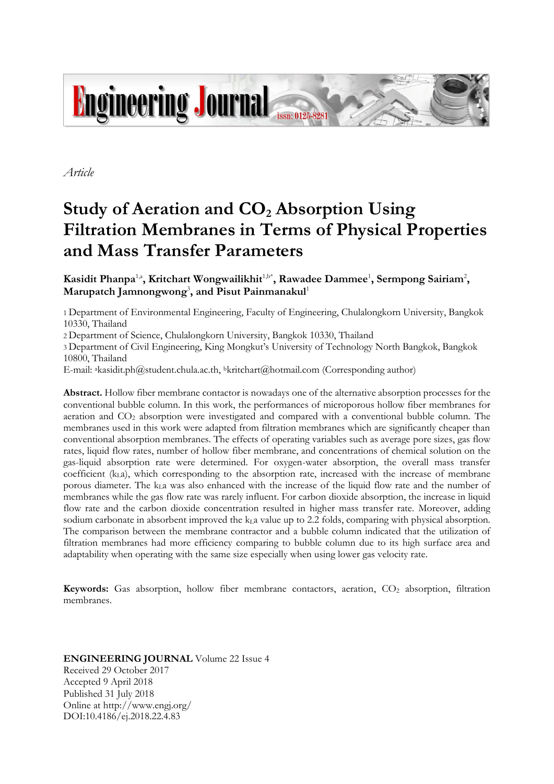

*Article*

# **Study of Aeration and CO<sup>2</sup> Absorption Using Filtration Membranes in Terms of Physical Properties and Mass Transfer Parameters**

Kasidit Phanpa<sup>1,a</sup>, Kritchart Wongwailikhit<sup>1,b\*</sup>, Rawadee Dammee<sup>1</sup>, Sermpong Sairiam<sup>2</sup>, **Marupatch Jamnongwong**<sup>3</sup> **, and Pisut Painmanakul**<sup>1</sup>

1 Department of Environmental Engineering, Faculty of Engineering, Chulalongkorn University, Bangkok 10330, Thailand

2 Department of Science, Chulalongkorn University, Bangkok 10330, Thailand

3 Department of Civil Engineering, King Mongkut's University of Technology North Bangkok, Bangkok 10800, Thailand

E-mail: <sup>a</sup>kasidit.ph@student.chula.ac.th, <sup>b</sup>kritchart@hotmail.com (Corresponding author)

**Abstract.** Hollow fiber membrane contactor is nowadays one of the alternative absorption processes for the conventional bubble column. In this work, the performances of microporous hollow fiber membranes for aeration and CO<sub>2</sub> absorption were investigated and compared with a conventional bubble column. The membranes used in this work were adapted from filtration membranes which are significantly cheaper than conventional absorption membranes. The effects of operating variables such as average pore sizes, gas flow rates, liquid flow rates, number of hollow fiber membrane, and concentrations of chemical solution on the gas-liquid absorption rate were determined. For oxygen-water absorption, the overall mass transfer coefficient  $(k<sub>L</sub>a)$ , which corresponding to the absorption rate, increased with the increase of membrane porous diameter. The kLa was also enhanced with the increase of the liquid flow rate and the number of membranes while the gas flow rate was rarely influent. For carbon dioxide absorption, the increase in liquid flow rate and the carbon dioxide concentration resulted in higher mass transfer rate. Moreover, adding sodium carbonate in absorbent improved the  $k<sub>L</sub>a$  value up to 2.2 folds, comparing with physical absorption. The comparison between the membrane contractor and a bubble column indicated that the utilization of filtration membranes had more efficiency comparing to bubble column due to its high surface area and adaptability when operating with the same size especially when using lower gas velocity rate.

**Keywords:** Gas absorption, hollow fiber membrane contactors, aeration, CO<sub>2</sub> absorption, filtration membranes.

# **ENGINEERING JOURNAL** Volume 22 Issue 4 Received 29 October 2017 Accepted 9 April 2018 Published 31 July 2018 Online at http://www.engj.org/ DOI:10.4186/ej.2018.22.4.83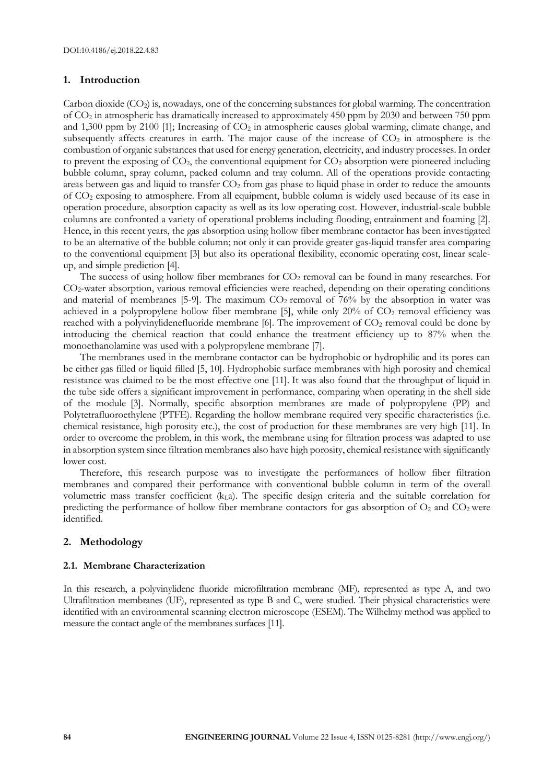# **1. Introduction**

Carbon dioxide  $(CO_2)$  is, nowadays, one of the concerning substances for global warming. The concentration of CO<sup>2</sup> in atmospheric has dramatically increased to approximately 450 ppm by 2030 and between 750 ppm and 1,300 ppm by 2100 [1]; Increasing of  $CO<sub>2</sub>$  in atmospheric causes global warming, climate change, and subsequently affects creatures in earth. The major cause of the increase of  $CO<sub>2</sub>$  in atmosphere is the combustion of organic substances that used for energy generation, electricity, and industry processes. In order to prevent the exposing of  $CO<sub>2</sub>$ , the conventional equipment for  $CO<sub>2</sub>$  absorption were pioneered including bubble column, spray column, packed column and tray column. All of the operations provide contacting areas between gas and liquid to transfer  $CO<sub>2</sub>$  from gas phase to liquid phase in order to reduce the amounts of CO<sup>2</sup> exposing to atmosphere. From all equipment, bubble column is widely used because of its ease in operation procedure, absorption capacity as well as its low operating cost. However, industrial-scale bubble columns are confronted a variety of operational problems including flooding, entrainment and foaming [2]. Hence, in this recent years, the gas absorption using hollow fiber membrane contactor has been investigated to be an alternative of the bubble column; not only it can provide greater gas-liquid transfer area comparing to the conventional equipment [3] but also its operational flexibility, economic operating cost, linear scaleup, and simple prediction [4].

The success of using hollow fiber membranes for  $CO<sub>2</sub>$  removal can be found in many researches. For CO2-water absorption, various removal efficiencies were reached, depending on their operating conditions and material of membranes [5-9]. The maximum  $CO<sub>2</sub>$  removal of 76% by the absorption in water was achieved in a polypropylene hollow fiber membrane [5], while only  $20\%$  of  $CO<sub>2</sub>$  removal efficiency was reached with a polyvinylidenefluoride membrane [6]. The improvement of CO<sub>2</sub> removal could be done by introducing the chemical reaction that could enhance the treatment efficiency up to 87% when the monoethanolamine was used with a polypropylene membrane [7].

The membranes used in the membrane contactor can be hydrophobic or hydrophilic and its pores can be either gas filled or liquid filled [5, 10]. Hydrophobic surface membranes with high porosity and chemical resistance was claimed to be the most effective one [11]. It was also found that the throughput of liquid in the tube side offers a significant improvement in performance, comparing when operating in the shell side of the module [3]. Normally, specific absorption membranes are made of polypropylene (PP) and Polytetrafluoroethylene (PTFE). Regarding the hollow membrane required very specific characteristics (i.e. chemical resistance, high porosity etc.), the cost of production for these membranes are very high [11]. In order to overcome the problem, in this work, the membrane using for filtration process was adapted to use in absorption system since filtration membranes also have high porosity, chemical resistance with significantly lower cost.

Therefore, this research purpose was to investigate the performances of hollow fiber filtration membranes and compared their performance with conventional bubble column in term of the overall volumetric mass transfer coefficient  $(k<sub>L</sub>a)$ . The specific design criteria and the suitable correlation for predicting the performance of hollow fiber membrane contactors for gas absorption of  $O_2$  and  $CO_2$  were identified.

# **2. Methodology**

## **2.1. Membrane Characterization**

In this research, a polyvinylidene fluoride microfiltration membrane (MF), represented as type A, and two Ultrafiltration membranes (UF), represented as type B and C, were studied. Their physical characteristics were identified with an environmental scanning electron microscope (ESEM). The Wilhelmy method was applied to measure the contact angle of the membranes surfaces [11].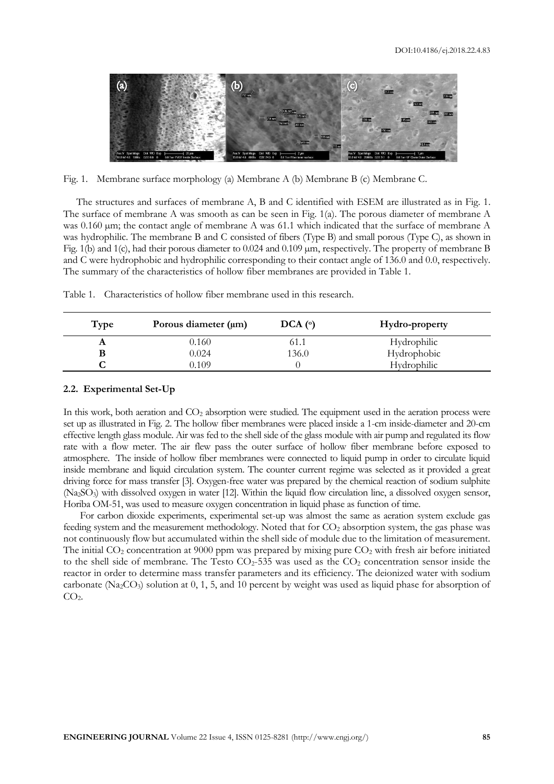

Fig. 1. Membrane surface morphology (a) Membrane A (b) Membrane B (c) Membrane C.

The structures and surfaces of membrane A, B and C identified with ESEM are illustrated as in Fig. 1. The surface of membrane A was smooth as can be seen in Fig. 1(a). The porous diameter of membrane A was 0.160 µm; the contact angle of membrane A was 61.1 which indicated that the surface of membrane A was hydrophilic. The membrane B and C consisted of fibers (Type B) and small porous (Type C), as shown in Fig. 1(b) and 1(c), had their porous diameter to 0.024 and 0.109 µm, respectively. The property of membrane B and C were hydrophobic and hydrophilic corresponding to their contact angle of 136.0 and 0.0, respectively. The summary of the characteristics of hollow fiber membranes are provided in Table 1.

Table 1. Characteristics of hollow fiber membrane used in this research.

| Type | Porous diameter $(\mu m)$ | $DCA$ ( $\circ$ ) | Hydro-property     |
|------|---------------------------|-------------------|--------------------|
| A    | 0.160                     | 61.1              | Hydrophilic        |
|      | 0.024                     | 136.0             | Hydrophobic        |
|      | 9.109                     |                   | <b>Hydrophilic</b> |

## **2.2. Experimental Set-Up**

In this work, both aeration and CO<sub>2</sub> absorption were studied. The equipment used in the aeration process were set up as illustrated in Fig. 2. The hollow fiber membranes were placed inside a 1-cm inside-diameter and 20-cm effective length glass module. Air was fed to the shell side of the glass module with air pump and regulated its flow rate with a flow meter. The air flew pass the outer surface of hollow fiber membrane before exposed to atmosphere. The inside of hollow fiber membranes were connected to liquid pump in order to circulate liquid inside membrane and liquid circulation system. The counter current regime was selected as it provided a great driving force for mass transfer [3]. Oxygen-free water was prepared by the chemical reaction of sodium sulphite (Na2SO3) with dissolved oxygen in water [12]. Within the liquid flow circulation line, a dissolved oxygen sensor, Horiba OM-51, was used to measure oxygen concentration in liquid phase as function of time.

For carbon dioxide experiments, experimental set-up was almost the same as aeration system exclude gas feeding system and the measurement methodology. Noted that for CO<sub>2</sub> absorption system, the gas phase was not continuously flow but accumulated within the shell side of module due to the limitation of measurement. The initial  $CO<sub>2</sub>$  concentration at 9000 ppm was prepared by mixing pure  $CO<sub>2</sub>$  with fresh air before initiated to the shell side of membrane. The Testo  $CO<sub>2</sub>$ -535 was used as the  $CO<sub>2</sub>$  concentration sensor inside the reactor in order to determine mass transfer parameters and its efficiency. The deionized water with sodium carbonate (Na<sub>2</sub>CO<sub>3</sub>) solution at  $0, 1, 5$ , and 10 percent by weight was used as liquid phase for absorption of  $CO<sub>2</sub>$ .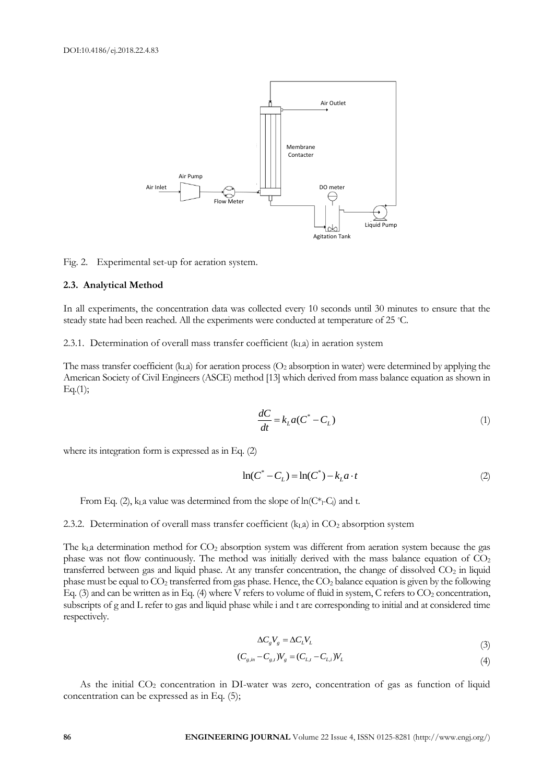

Fig. 2. Experimental set-up for aeration system.

#### **2.3. Analytical Method**

In all experiments, the concentration data was collected every 10 seconds until 30 minutes to ensure that the steady state had been reached. All the experiments were conducted at temperature of 25 °C.

# 2.3.1. Determination of overall mass transfer coefficient  $(k<sub>L</sub>a)$  in aeration system

The mass transfer coefficient (k<sub>La</sub>) for aeration process ( $O<sub>2</sub>$  absorption in water) were determined by applying the American Society of Civil Engineers (ASCE) method [13] which derived from mass balance equation as shown in  $Eq.(1);$ 

$$
\frac{dC}{dt} = k_L a (C^* - C_L)
$$
\n(1)

where its integration form is expressed as in Eq. (2)

$$
\ln(C^* - C_L) = \ln(C^*) - k_L a \cdot t \tag{2}
$$

From Eq. (2),  $k<sub>L</sub>a$  value was determined from the slope of  $ln(C<sup>*</sup><sub>L</sub>-C<sub>l</sub>)$  and t.

## 2.3.2. Determination of overall mass transfer coefficient  $(k<sub>L</sub>a)$  in CO<sub>2</sub> absorption system

The  $k<sub>L</sub>a$  determination method for  $CO<sub>2</sub>$  absorption system was different from aeration system because the gas phase was not flow continuously. The method was initially derived with the mass balance equation of  $CO<sub>2</sub>$ transferred between gas and liquid phase. At any transfer concentration, the change of dissolved  $CO<sub>2</sub>$  in liquid phase must be equal to  $CO_2$  transferred from gas phase. Hence, the  $CO_2$  balance equation is given by the following Eq. (3) and can be written as in Eq. (4) where V refers to volume of fluid in system, C refers to  $CO<sub>2</sub>$  concentration, subscripts of g and L refer to gas and liquid phase while i and t are corresponding to initial and at considered time respectively.

$$
\Delta C_s V_s = \Delta C_L V_L \tag{3}
$$

$$
(C_{g,in} - C_{g,t})V_g = (C_{L,t} - C_{L,t})V_L
$$
\n(4)

As the initial CO<sub>2</sub> concentration in DI-water was zero, concentration of gas as function of liquid concentration can be expressed as in Eq. (5);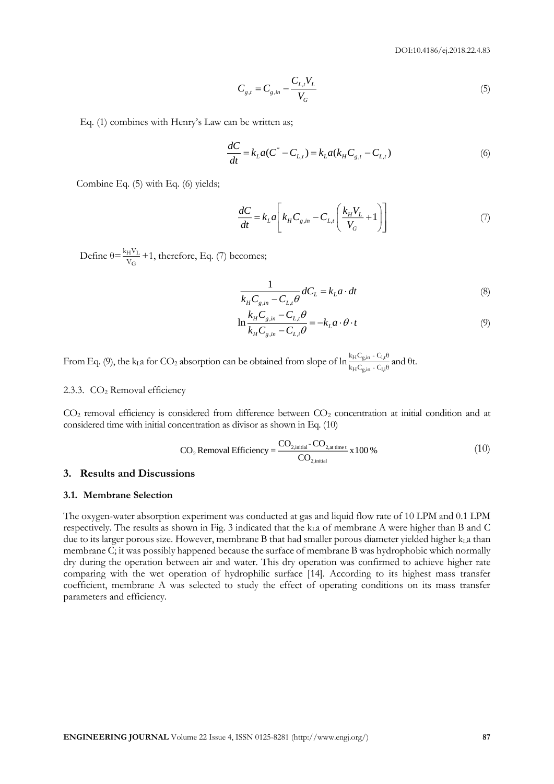DOI:10.4186/ej.2018.22.4.83

$$
C_{g,t} = C_{g,in} - \frac{C_{L,t} V_L}{V_G} \tag{5}
$$

Eq. (1) combines with Henry's Law can be written as;

$$
\frac{dC}{dt} = k_L a (C^* - C_{L,t}) = k_L a (k_H C_{g,t} - C_{L,t})
$$
\n(6)

Combine Eq. (5) with Eq. (6) yields;

$$
\frac{dC}{dt} = k_L a \left[ k_H C_{g,in} - C_{L,t} \left( \frac{k_H V_L}{V_G} + 1 \right) \right]
$$
\n<sup>(7)</sup>

Define  $\theta = \frac{k_H V_L}{V_G} + 1$ , therefore, Eq. (7) becomes;

$$
\frac{1}{k_{H}C_{g,in} - C_{L,t}\theta} dC_{L} = k_{L}a \cdot dt
$$
\n(8)

$$
\ln \frac{k_{H}C_{g,in} - C_{L,t}\theta}{k_{H}C_{g,in} - C_{L,t}\theta} = -k_{L}a \cdot \theta \cdot t
$$
\n(9)

From Eq. (9), the kLa for CO<sub>2</sub> absorption can be obtained from slope of  $\ln \frac{k_{\text{H}}C_{\text{g,in}}-C_{\text{L}}\theta}{k_{\text{L}}C_{\text{L}}C_{\text{L}}}$  $rac{R_{\text{H}}C_{\text{g,in}}}{k_{\text{H}}C_{\text{g,in}} - C_{\text{l,i}}\theta}$  and  $\theta$ t.

## 2.3.3.  $CO<sub>2</sub>$  Removal efficiency

 $CO<sub>2</sub>$  removal efficiency is considered from difference between  $CO<sub>2</sub>$  concentration at initial condition and at considered time with initial concentration as divisor as shown in Eq. (10)<br>
CO. Removal Efficiency =  $\frac{CO_{2,\text{initial}}-CO_{2,\text{at}}}{CO}$ 

$$
CO2 Removal Efficiency = \frac{CO2,initial - CO2,at time t}{CO2,initial} \times 100\%
$$
 (10)

# **3. Results and Discussions**

## **3.1. Membrane Selection**

The oxygen-water absorption experiment was conducted at gas and liquid flow rate of 10 LPM and 0.1 LPM respectively. The results as shown in Fig. 3 indicated that the  $k<sub>L</sub>a$  of membrane A were higher than B and C due to its larger porous size. However, membrane B that had smaller porous diameter yielded higher kLa than membrane C; it was possibly happened because the surface of membrane B was hydrophobic which normally dry during the operation between air and water. This dry operation was confirmed to achieve higher rate comparing with the wet operation of hydrophilic surface [14]. According to its highest mass transfer coefficient, membrane A was selected to study the effect of operating conditions on its mass transfer parameters and efficiency.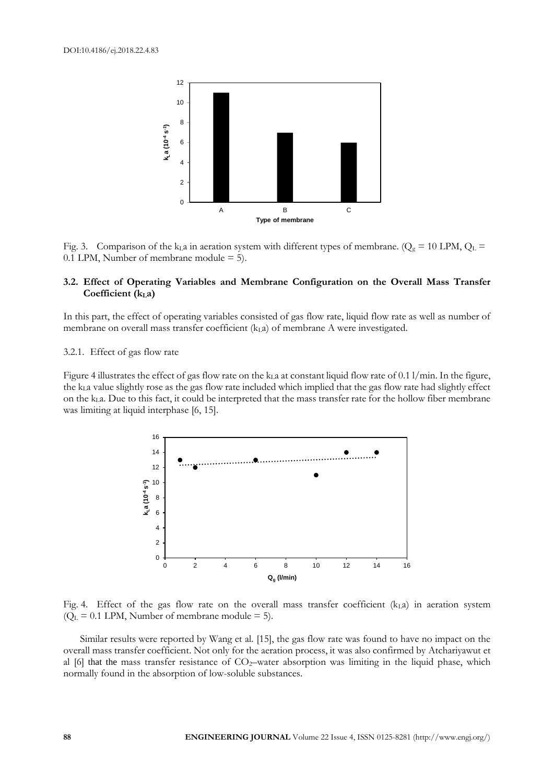

Fig. 3. Comparison of the k<sub>L</sub>a in aeration system with different types of membrane. ( $Q_g = 10$  LPM,  $Q_L$  = 0.1 LPM, Number of membrane module = 5).

# **3.2. Effect of Operating Variables and Membrane Configuration on the Overall Mass Transfer Coefficient (kLa)**

In this part, the effect of operating variables consisted of gas flow rate, liquid flow rate as well as number of membrane on overall mass transfer coefficient  $(k<sub>L</sub>a)$  of membrane A were investigated.

## 3.2.1. Effect of gas flow rate

Figure 4 illustrates the effect of gas flow rate on the k<sub>L</sub>a at constant liquid flow rate of 0.1 l/min. In the figure, the kLa value slightly rose as the gas flow rate included which implied that the gas flow rate had slightly effect on the k<sub>L</sub>a. Due to this fact, it could be interpreted that the mass transfer rate for the hollow fiber membrane was limiting at liquid interphase [6, 15].



Fig. 4. Effect of the gas flow rate on the overall mass transfer coefficient  $(k<sub>L</sub>a)$  in aeration system  $(Q<sub>L</sub> = 0.1$  LPM, Number of membrane module = 5).

Similar results were reported by Wang et al. [15], the gas flow rate was found to have no impact on the overall mass transfer coefficient. Not only for the aeration process, it was also confirmed by Atchariyawut et al [6] that the mass transfer resistance of CO<sub>2</sub>-water absorption was limiting in the liquid phase, which normally found in the absorption of low-soluble substances.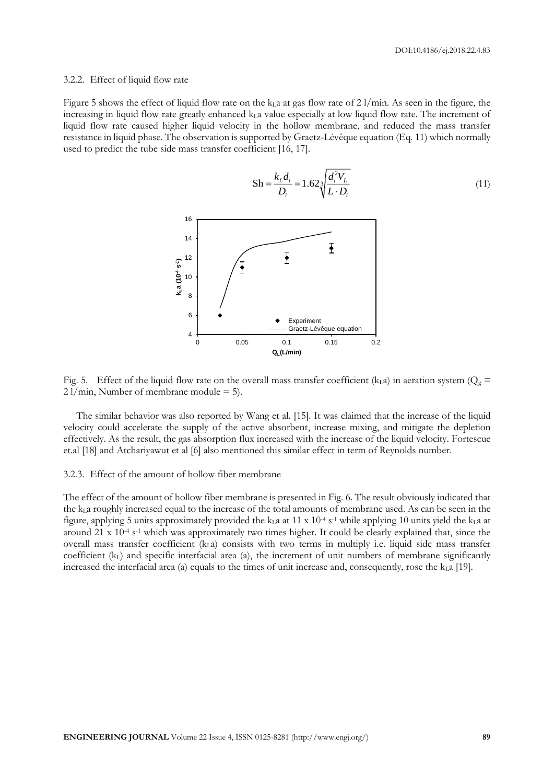### 3.2.2. Effect of liquid flow rate

Figure 5 shows the effect of liquid flow rate on the  $k<sub>L</sub>a$  at gas flow rate of 21/min. As seen in the figure, the increasing in liquid flow rate greatly enhanced  $k<sub>L</sub>$  value especially at low liquid flow rate. The increment of liquid flow rate caused higher liquid velocity in the hollow membrane, and reduced the mass transfer resistance in liquid phase. The observation is supported by Graetz-Lévêque equation (Eq. 11) which normally used to predict the tube side mass transfer coefficient [16, 17].

$$
Sh = \frac{k_L d_i}{D_i} = 1.62 \sqrt[3]{\frac{d_i^2 V_L}{L \cdot D_i}}
$$
(11)



Fig. 5. Effect of the liquid flow rate on the overall mass transfer coefficient (k<sub>La</sub>) in aeration system ( $Q_g =$  $2$  l/min, Number of membrane module = 5).

The similar behavior was also reported by Wang et al. [15]. It was claimed that the increase of the liquid velocity could accelerate the supply of the active absorbent, increase mixing, and mitigate the depletion effectively. As the result, the gas absorption flux increased with the increase of the liquid velocity. Fortescue et.al [18] and Atchariyawut et al [6] also mentioned this similar effect in term of Reynolds number.

## 3.2.3. Effect of the amount of hollow fiber membrane

The effect of the amount of hollow fiber membrane is presented in Fig. 6. The result obviously indicated that the  $k<sub>L</sub>$  a roughly increased equal to the increase of the total amounts of membrane used. As can be seen in the figure, applying 5 units approximately provided the  $k<sub>L</sub>a$  at 11 x 10<sup>-4</sup> s<sup>-1</sup> while applying 10 units yield the  $k<sub>L</sub>a$  at around 21 x 10<sup>-4</sup> s<sup>-1</sup> which was approximately two times higher. It could be clearly explained that, since the overall mass transfer coefficient (kLa) consists with two terms in multiply i.e. liquid side mass transfer coefficient  $(k<sub>L</sub>)$  and specific interfacial area (a), the increment of unit numbers of membrane significantly increased the interfacial area (a) equals to the times of unit increase and, consequently, rose the  $k<sub>L</sub>a$  [19].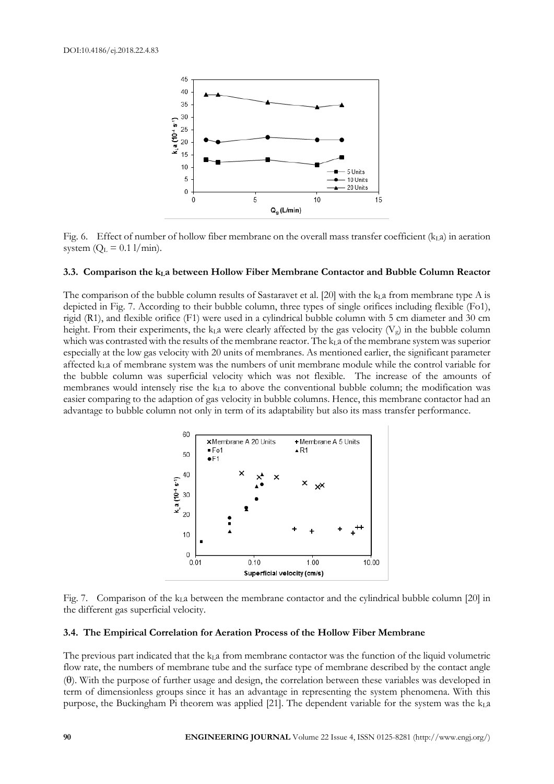

Fig. 6. Effect of number of hollow fiber membrane on the overall mass transfer coefficient (kLa) in aeration system  $(Q_L = 0.1 \text{ l/min}).$ 

## **3.3. Comparison the kLa between Hollow Fiber Membrane Contactor and Bubble Column Reactor**

The comparison of the bubble column results of Sastaravet et al. [20] with the  $k<sub>L</sub>$ a from membrane type A is depicted in Fig. 7. According to their bubble column, three types of single orifices including flexible (Fo1), rigid (R1), and flexible orifice (F1) were used in a cylindrical bubble column with 5 cm diameter and 30 cm height. From their experiments, the k<sub>L</sub>a were clearly affected by the gas velocity ( $V_g$ ) in the bubble column which was contrasted with the results of the membrane reactor. The  $k<sub>L</sub>a$  of the membrane system was superior especially at the low gas velocity with 20 units of membranes. As mentioned earlier, the significant parameter affected kLa of membrane system was the numbers of unit membrane module while the control variable for the bubble column was superficial velocity which was not flexible. The increase of the amounts of membranes would intensely rise the k<sub>L</sub>a to above the conventional bubble column; the modification was easier comparing to the adaption of gas velocity in bubble columns. Hence, this membrane contactor had an advantage to bubble column not only in term of its adaptability but also its mass transfer performance.



Fig. 7. Comparison of the  $k<sub>L</sub>a$  between the membrane contactor and the cylindrical bubble column [20] in the different gas superficial velocity.

## **3.4. The Empirical Correlation for Aeration Process of the Hollow Fiber Membrane**

The previous part indicated that the  $k<sub>L</sub>a$  from membrane contactor was the function of the liquid volumetric flow rate, the numbers of membrane tube and the surface type of membrane described by the contact angle  $(0)$ . With the purpose of further usage and design, the correlation between these variables was developed in term of dimensionless groups since it has an advantage in representing the system phenomena. With this purpose, the Buckingham Pi theorem was applied [21]. The dependent variable for the system was the kLa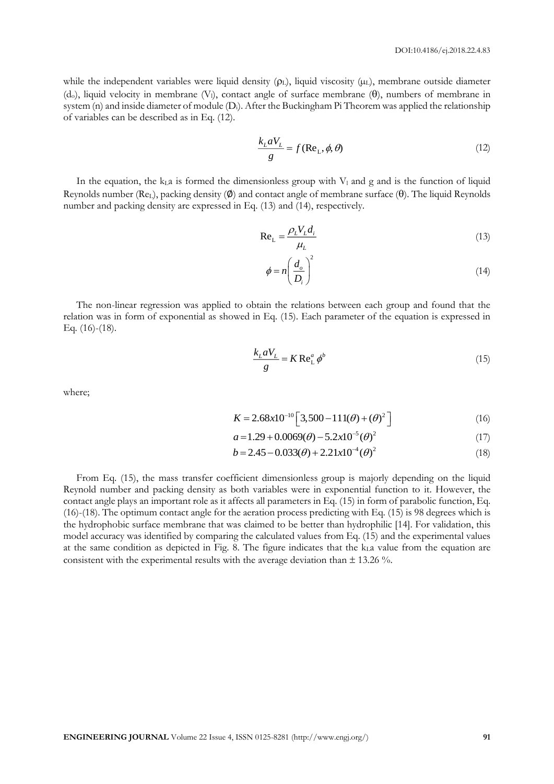while the independent variables were liquid density  $(p<sub>L</sub>)$ , liquid viscosity  $(\mu<sub>L</sub>)$ , membrane outside diameter  $(d_0)$ , liquid velocity in membrane (V<sub>l</sub>), contact angle of surface membrane ( $\theta$ ), numbers of membrane in system (n) and inside diameter of module (D<sub>i</sub>). After the Buckingham Pi Theorem was applied the relationship of variables can be described as in Eq. (12).

$$
\frac{k_L a V_L}{g} = f(\text{Re}_L, \phi, \theta)
$$
\n(12)

In the equation, the  $k<sub>L</sub>a$  is formed the dimensionless group with  $V<sub>l</sub>$  and g and is the function of liquid Reynolds number (Re<sub>L</sub>), packing density  $(\emptyset)$  and contact angle of membrane surface ( $\theta$ ). The liquid Reynolds number and packing density are expressed in Eq. (13) and (14), respectively.

$$
\text{Re}_{\text{L}} = \frac{\rho_L V_L d_i}{\mu_L} \tag{13}
$$

$$
\phi = n \left( \frac{d_o}{D_i} \right)^2 \tag{14}
$$

The non-linear regression was applied to obtain the relations between each group and found that the relation was in form of exponential as showed in Eq. (15). Each parameter of the equation is expressed in Eq. (16)-(18).

$$
\frac{k_L a V_L}{g} = K \operatorname{Re}_{\mathrm{L}}^a \phi^b \tag{15}
$$

where;

$$
K = 2.68 \times 10^{-10} \left[ 3,500 - 111(\theta) + (\theta)^2 \right]
$$
 (16)

$$
a = 1.29 + 0.0069(\theta) - 5.2x10^{-5}(\theta)^{2}
$$
 (17)

$$
a = 1.29 + 0.0069(\theta) - 5.2x10(\theta)
$$
\n
$$
b = 2.45 - 0.033(\theta) + 2.21x10^{-4}(\theta)^{2}
$$
\n(18)

From Eq. (15), the mass transfer coefficient dimensionless group is majorly depending on the liquid Reynold number and packing density as both variables were in exponential function to it. However, the contact angle plays an important role as it affects all parameters in Eq. (15) in form of parabolic function, Eq. (16)-(18). The optimum contact angle for the aeration process predicting with Eq. (15) is 98 degrees which is the hydrophobic surface membrane that was claimed to be better than hydrophilic [14]. For validation, this model accuracy was identified by comparing the calculated values from Eq. (15) and the experimental values at the same condition as depicted in Fig. 8. The figure indicates that the kLa value from the equation are consistent with the experimental results with the average deviation than  $\pm$  13.26 %.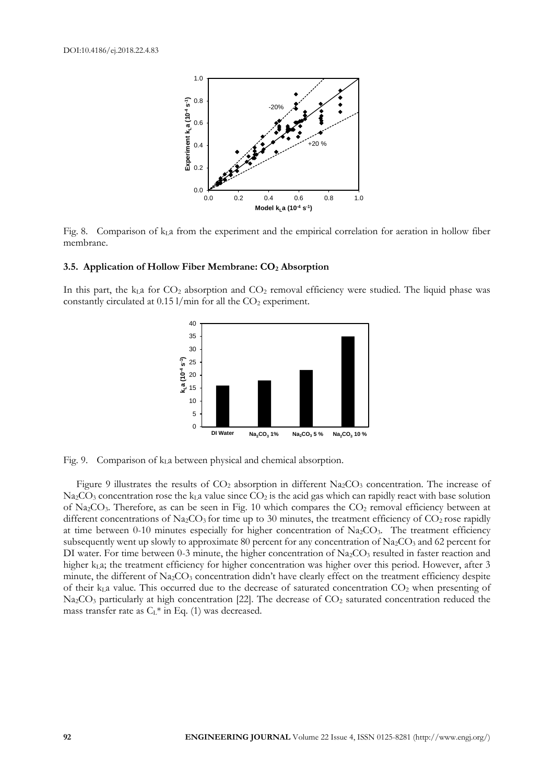

Fig. 8. Comparison of  $k<sub>L</sub>a$  from the experiment and the empirical correlation for aeration in hollow fiber membrane.

## **3.5. Application of Hollow Fiber Membrane: CO<sup>2</sup> Absorption**

In this part, the  $k<sub>L</sub>a$  for  $CO<sub>2</sub>$  absorption and  $CO<sub>2</sub>$  removal efficiency were studied. The liquid phase was constantly circulated at  $0.15$  l/min for all the  $CO<sub>2</sub>$  experiment.



Fig. 9. Comparison of kLa between physical and chemical absorption.

Figure 9 illustrates the results of  $CO<sub>2</sub>$  absorption in different Na<sub>2</sub>CO<sub>3</sub> concentration. The increase of  $N_{\rm 22}CO_3$  concentration rose the k<sub>L</sub>a value since  $CO_2$  is the acid gas which can rapidly react with base solution of Na<sub>2</sub>CO<sub>3</sub>. Therefore, as can be seen in Fig. 10 which compares the CO<sub>2</sub> removal efficiency between at different concentrations of Na<sub>2</sub>CO<sub>3</sub> for time up to 30 minutes, the treatment efficiency of CO<sub>2</sub> rose rapidly at time between 0-10 minutes especially for higher concentration of  $Na<sub>2</sub>CO<sub>3</sub>$ . The treatment efficiency subsequently went up slowly to approximate 80 percent for any concentration of  $Na_2CO_3$  and 62 percent for DI water. For time between 0-3 minute, the higher concentration of  $Na<sub>2</sub>CO<sub>3</sub>$  resulted in faster reaction and higher  $k<sub>L</sub>a$ ; the treatment efficiency for higher concentration was higher over this period. However, after 3 minute, the different of  $\text{Na}_2\text{CO}_3$  concentration didn't have clearly effect on the treatment efficiency despite of their  $k<sub>L</sub>a$  value. This occurred due to the decrease of saturated concentration  $CO<sub>2</sub>$  when presenting of Na<sub>2</sub>CO<sub>3</sub> particularly at high concentration [22]. The decrease of CO<sub>2</sub> saturated concentration reduced the mass transfer rate as  $C_{L}$ <sup>\*</sup> in Eq. (1) was decreased.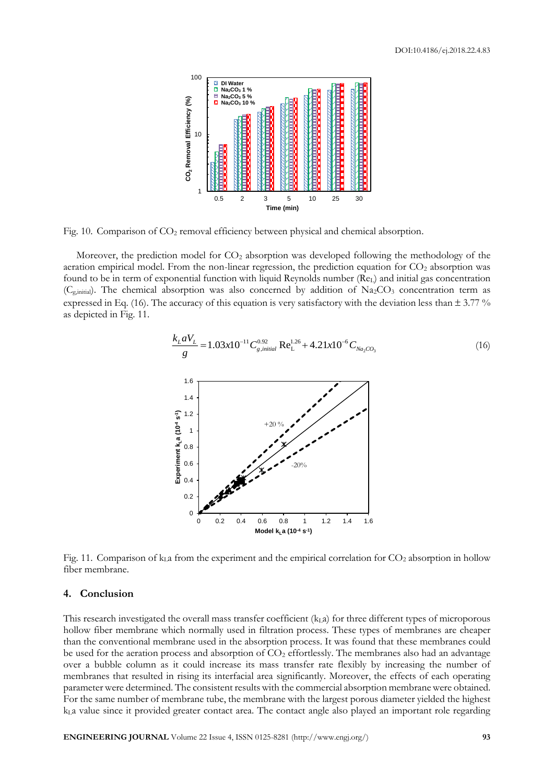

Fig. 10. Comparison of CO<sup>2</sup> removal efficiency between physical and chemical absorption.

Moreover, the prediction model for  $CO<sub>2</sub>$  absorption was developed following the methodology of the aeration empirical model. From the non-linear regression, the prediction equation for CO<sub>2</sub> absorption was found to be in term of exponential function with liquid Reynolds number (ReL) and initial gas concentration ( $C_{g,\text{initial}}$ ). The chemical absorption was also concerned by addition of Na<sub>2</sub>CO<sub>3</sub> concentration term as expressed in Eq. (16). The accuracy of this equation is very satisfactory with the deviation less than  $\pm$  3.77 % as depicted in Fig. 11.



Fig. 11. Comparison of  $k<sub>L</sub>a$  from the experiment and the empirical correlation for  $CO<sub>2</sub>$  absorption in hollow fiber membrane.

# **4. Conclusion**

This research investigated the overall mass transfer coefficient  $(k<sub>L</sub>a)$  for three different types of microporous hollow fiber membrane which normally used in filtration process. These types of membranes are cheaper than the conventional membrane used in the absorption process. It was found that these membranes could be used for the aeration process and absorption of  $CO<sub>2</sub>$  effortlessly. The membranes also had an advantage over a bubble column as it could increase its mass transfer rate flexibly by increasing the number of membranes that resulted in rising its interfacial area significantly. Moreover, the effects of each operating parameter were determined. The consistent results with the commercial absorption membrane were obtained. For the same number of membrane tube, the membrane with the largest porous diameter yielded the highest  $k<sub>L</sub>$  value since it provided greater contact area. The contact angle also played an important role regarding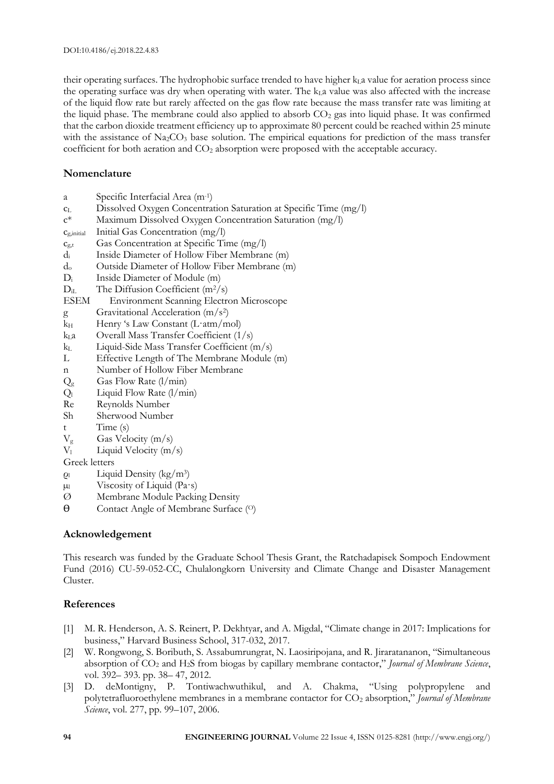their operating surfaces. The hydrophobic surface trended to have higher  $k<sub>L</sub>a$  value for aeration process since the operating surface was dry when operating with water. The  $k<sub>L</sub>a$  value was also affected with the increase of the liquid flow rate but rarely affected on the gas flow rate because the mass transfer rate was limiting at the liquid phase. The membrane could also applied to absorb  $CO<sub>2</sub>$  gas into liquid phase. It was confirmed that the carbon dioxide treatment efficiency up to approximate 80 percent could be reached within 25 minute with the assistance of Na<sub>2</sub>CO<sub>3</sub> base solution. The empirical equations for prediction of the mass transfer coefficient for both aeration and  $CO<sub>2</sub>$  absorption were proposed with the acceptable accuracy.

# **Nomenclature**

- a Specific Interfacial Area (m-1 )
- c<sup>L</sup> Dissolved Oxygen Concentration Saturation at Specific Time (mg/l)
- c\* Maximum Dissolved Oxygen Concentration Saturation (mg/l)
- cg,initial Initial Gas Concentration (mg/l)
- $c_{g,t}$  Gas Concentration at Specific Time (mg/l)
- d<sup>i</sup> Inside Diameter of Hollow Fiber Membrane (m)
- d<sup>o</sup> Outside Diameter of Hollow Fiber Membrane (m)
- D<sub>i</sub> Inside Diameter of Module (m)
- $D_{iL}$  The Diffusion Coefficient (m<sup>2</sup>/s)
- ESEM Environment Scanning Electron Microscope
- g Gravitational Acceleration (m/s<sup>2</sup> )
- $k_H$  Henry 's Law Constant (L·atm/mol)
- $k<sub>L</sub>a$  Overall Mass Transfer Coefficient (1/s)
- k<sub>L</sub> Liquid-Side Mass Transfer Coefficient (m/s)
- L Effective Length of The Membrane Module (m)
- n Number of Hollow Fiber Membrane
- $Q_g$  Gas Flow Rate (l/min)
- $Q_1$  Liquid Flow Rate  $(1/\text{min})$
- Re Reynolds Number
- Sh Sherwood Number
- t Time (s)
- $V_g$  Gas Velocity (m/s)
- $V_1$  Liquid Velocity (m/s)

Greek letters

- ρ<sup>l</sup> Liquid Density (kg/m<sup>3</sup> )
- $\mu$ l Viscosity of Liquid (Pa·s)
- Ø Membrane Module Packing Density
- Ɵ Contact Angle of Membrane Surface (O)

# **Acknowledgement**

This research was funded by the Graduate School Thesis Grant, the Ratchadapisek Sompoch Endowment Fund (2016) CU-59-052-CC, Chulalongkorn University and Climate Change and Disaster Management Cluster.

# **References**

- [1] M. R. Henderson, A. S. Reinert, P. Dekhtyar, and A. Migdal, "Climate change in 2017: Implications for business," Harvard Business School, 317-032, 2017.
- [2] W. Rongwong, S. Boributh, S. Assabumrungrat, N. Laosiripojana, and R. Jiraratananon, "Simultaneous absorption of CO<sup>2</sup> and H2S from biogas by capillary membrane contactor," *Journal of Membrane Science*, vol. 392– 393. pp. 38– 47, 2012.
- [3] D. deMontigny, P. Tontiwachwuthikul, and A. Chakma, "Using polypropylene and polytetrafluoroethylene membranes in a membrane contactor for CO<sup>2</sup> absorption," *Journal of Membrane Science*, vol. 277, pp. 99–107, 2006.